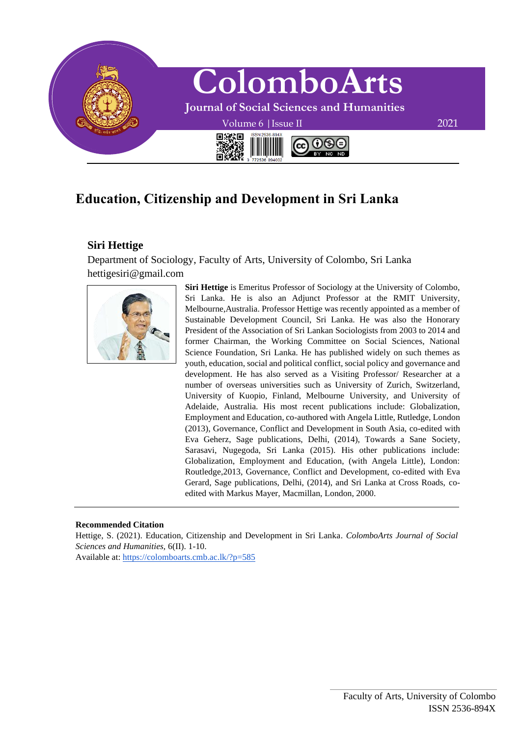

# **Education, Citizenship and Development in Sri Lanka**

## **Siri Hettige**

Department of Sociology, Faculty of Arts, University of Colombo, Sri Lanka hettigesiri@gmail.com



**Siri Hettige** is Emeritus Professor of Sociology at the University of Colombo, Sri Lanka. He is also an Adjunct Professor at the RMIT University, Melbourne,Australia. Professor Hettige was recently appointed as a member of Sustainable Development Council, Sri Lanka. He was also the Honorary President of the Association of Sri Lankan Sociologists from 2003 to 2014 and former Chairman, the Working Committee on Social Sciences, National Science Foundation, Sri Lanka. He has published widely on such themes as youth, education, social and political conflict, social policy and governance and development. He has also served as a Visiting Professor/ Researcher at a number of overseas universities such as University of Zurich, Switzerland, University of Kuopio, Finland, Melbourne University, and University of Adelaide, Australia. His most recent publications include: Globalization, Employment and Education, co-authored with Angela Little, Rutledge, London (2013), Governance, Conflict and Development in South Asia, co-edited with Eva Geherz, Sage publications, Delhi, (2014), Towards a Sane Society, Sarasavi, Nugegoda, Sri Lanka (2015). His other publications include: Globalization, Employment and Education, (with Angela Little), London: Routledge,2013, Governance, Conflict and Development, co-edited with Eva Gerard, Sage publications, Delhi, (2014), and Sri Lanka at Cross Roads, coedited with Markus Mayer, Macmillan, London, 2000.

#### **Recommended Citation**

Hettige, S. (2021). Education, Citizenship and Development in Sri Lanka. *ColomboArts Journal of Social Sciences and Humanities,* 6(II). 1-10.

Available at:<https://colomboarts.cmb.ac.lk/?p=585>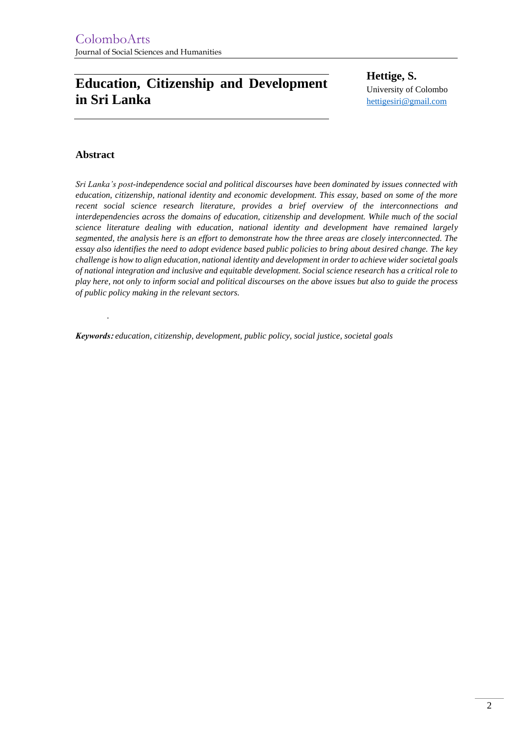# **Education, Citizenship and Development in Sri Lanka**

**Hettige, S.**  University of Colombo [hettigesiri@gmail.com](mailto:hettigesiri@gmail.com)

### **Abstract**

*.*

*Sri Lanka's post-independence social and political discourses have been dominated by issues connected with education, citizenship, national identity and economic development. This essay, based on some of the more recent social science research literature, provides a brief overview of the interconnections and interdependencies across the domains of education, citizenship and development. While much of the social science literature dealing with education, national identity and development have remained largely segmented, the analysis here is an effort to demonstrate how the three areas are closely interconnected. The essay also identifies the need to adopt evidence based public policies to bring about desired change. The key challenge is how to align education, national identity and development in order to achieve wider societal goals of national integration and inclusive and equitable development. Social science research has a critical role to play here, not only to inform social and political discourses on the above issues but also to guide the process of public policy making in the relevant sectors.* 

*Keywords***:** *education, citizenship, development, public policy, social justice, societal goals*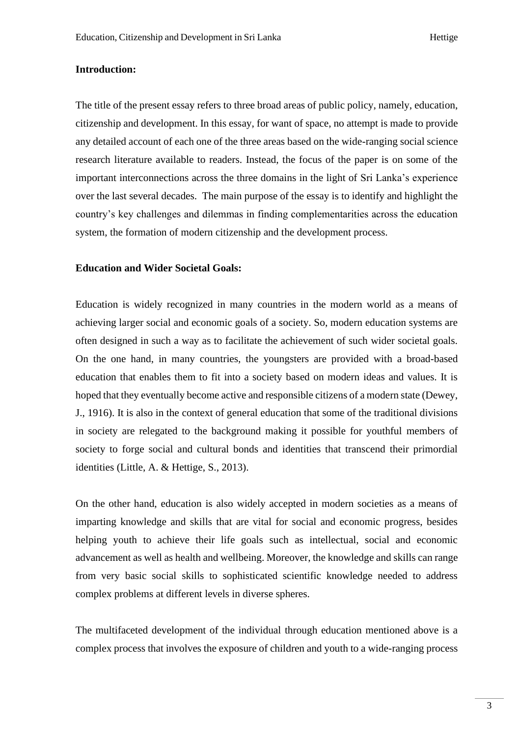#### **Introduction:**

The title of the present essay refers to three broad areas of public policy, namely, education, citizenship and development. In this essay, for want of space, no attempt is made to provide any detailed account of each one of the three areas based on the wide-ranging social science research literature available to readers. Instead, the focus of the paper is on some of the important interconnections across the three domains in the light of Sri Lanka's experience over the last several decades. The main purpose of the essay is to identify and highlight the country's key challenges and dilemmas in finding complementarities across the education system, the formation of modern citizenship and the development process.

#### **Education and Wider Societal Goals:**

Education is widely recognized in many countries in the modern world as a means of achieving larger social and economic goals of a society. So, modern education systems are often designed in such a way as to facilitate the achievement of such wider societal goals. On the one hand, in many countries, the youngsters are provided with a broad-based education that enables them to fit into a society based on modern ideas and values. It is hoped that they eventually become active and responsible citizens of a modern state (Dewey, J., 1916). It is also in the context of general education that some of the traditional divisions in society are relegated to the background making it possible for youthful members of society to forge social and cultural bonds and identities that transcend their primordial identities (Little, A. & Hettige, S., 2013).

On the other hand, education is also widely accepted in modern societies as a means of imparting knowledge and skills that are vital for social and economic progress, besides helping youth to achieve their life goals such as intellectual, social and economic advancement as well as health and wellbeing. Moreover, the knowledge and skills can range from very basic social skills to sophisticated scientific knowledge needed to address complex problems at different levels in diverse spheres.

The multifaceted development of the individual through education mentioned above is a complex process that involves the exposure of children and youth to a wide-ranging process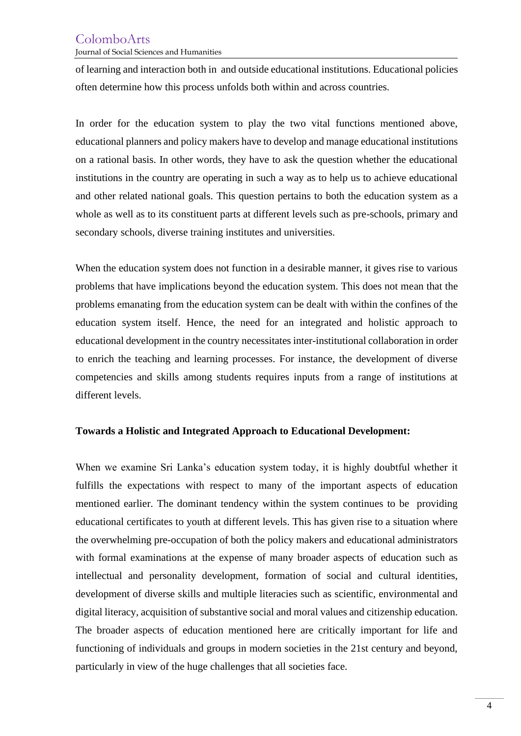# ColomboArts

Journal of Social Sciences and Humanities

of learning and interaction both in and outside educational institutions. Educational policies often determine how this process unfolds both within and across countries.

In order for the education system to play the two vital functions mentioned above, educational planners and policy makers have to develop and manage educational institutions on a rational basis. In other words, they have to ask the question whether the educational institutions in the country are operating in such a way as to help us to achieve educational and other related national goals. This question pertains to both the education system as a whole as well as to its constituent parts at different levels such as pre-schools, primary and secondary schools, diverse training institutes and universities.

When the education system does not function in a desirable manner, it gives rise to various problems that have implications beyond the education system. This does not mean that the problems emanating from the education system can be dealt with within the confines of the education system itself. Hence, the need for an integrated and holistic approach to educational development in the country necessitates inter-institutional collaboration in order to enrich the teaching and learning processes. For instance, the development of diverse competencies and skills among students requires inputs from a range of institutions at different levels.

### **Towards a Holistic and Integrated Approach to Educational Development:**

When we examine Sri Lanka's education system today, it is highly doubtful whether it fulfills the expectations with respect to many of the important aspects of education mentioned earlier. The dominant tendency within the system continues to be providing educational certificates to youth at different levels. This has given rise to a situation where the overwhelming pre-occupation of both the policy makers and educational administrators with formal examinations at the expense of many broader aspects of education such as intellectual and personality development, formation of social and cultural identities, development of diverse skills and multiple literacies such as scientific, environmental and digital literacy, acquisition of substantive social and moral values and citizenship education. The broader aspects of education mentioned here are critically important for life and functioning of individuals and groups in modern societies in the 21st century and beyond, particularly in view of the huge challenges that all societies face.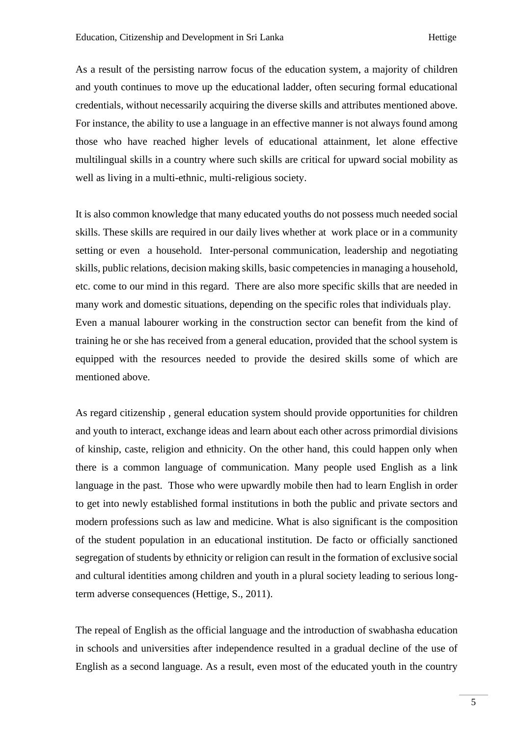As a result of the persisting narrow focus of the education system, a majority of children and youth continues to move up the educational ladder, often securing formal educational credentials, without necessarily acquiring the diverse skills and attributes mentioned above. For instance, the ability to use a language in an effective manner is not always found among those who have reached higher levels of educational attainment, let alone effective multilingual skills in a country where such skills are critical for upward social mobility as well as living in a multi-ethnic, multi-religious society.

It is also common knowledge that many educated youths do not possess much needed social skills. These skills are required in our daily lives whether at work place or in a community setting or even a household. Inter-personal communication, leadership and negotiating skills, public relations, decision making skills, basic competencies in managing a household, etc. come to our mind in this regard. There are also more specific skills that are needed in many work and domestic situations, depending on the specific roles that individuals play. Even a manual labourer working in the construction sector can benefit from the kind of training he or she has received from a general education, provided that the school system is equipped with the resources needed to provide the desired skills some of which are mentioned above.

As regard citizenship , general education system should provide opportunities for children and youth to interact, exchange ideas and learn about each other across primordial divisions of kinship, caste, religion and ethnicity. On the other hand, this could happen only when there is a common language of communication. Many people used English as a link language in the past. Those who were upwardly mobile then had to learn English in order to get into newly established formal institutions in both the public and private sectors and modern professions such as law and medicine. What is also significant is the composition of the student population in an educational institution. De facto or officially sanctioned segregation of students by ethnicity or religion can result in the formation of exclusive social and cultural identities among children and youth in a plural society leading to serious longterm adverse consequences (Hettige, S., 2011).

The repeal of English as the official language and the introduction of swabhasha education in schools and universities after independence resulted in a gradual decline of the use of English as a second language. As a result, even most of the educated youth in the country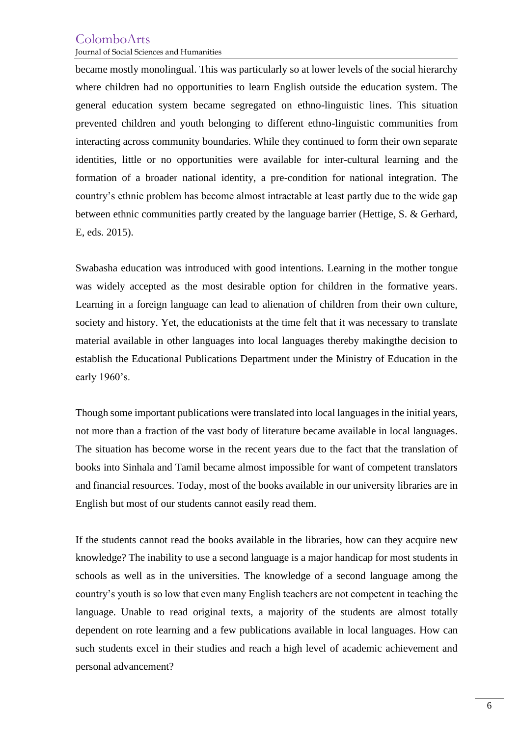# ColomboArts

Journal of Social Sciences and Humanities

became mostly monolingual. This was particularly so at lower levels of the social hierarchy where children had no opportunities to learn English outside the education system. The general education system became segregated on ethno-linguistic lines. This situation prevented children and youth belonging to different ethno-linguistic communities from interacting across community boundaries. While they continued to form their own separate identities, little or no opportunities were available for inter-cultural learning and the formation of a broader national identity, a pre-condition for national integration. The country's ethnic problem has become almost intractable at least partly due to the wide gap between ethnic communities partly created by the language barrier (Hettige, S. & Gerhard, E, eds. 2015).

Swabasha education was introduced with good intentions. Learning in the mother tongue was widely accepted as the most desirable option for children in the formative years. Learning in a foreign language can lead to alienation of children from their own culture, society and history. Yet, the educationists at the time felt that it was necessary to translate material available in other languages into local languages thereby makingthe decision to establish the Educational Publications Department under the Ministry of Education in the early 1960's.

Though some important publications were translated into local languages in the initial years, not more than a fraction of the vast body of literature became available in local languages. The situation has become worse in the recent years due to the fact that the translation of books into Sinhala and Tamil became almost impossible for want of competent translators and financial resources. Today, most of the books available in our university libraries are in English but most of our students cannot easily read them.

If the students cannot read the books available in the libraries, how can they acquire new knowledge? The inability to use a second language is a major handicap for most students in schools as well as in the universities. The knowledge of a second language among the country's youth is so low that even many English teachers are not competent in teaching the language. Unable to read original texts, a majority of the students are almost totally dependent on rote learning and a few publications available in local languages. How can such students excel in their studies and reach a high level of academic achievement and personal advancement?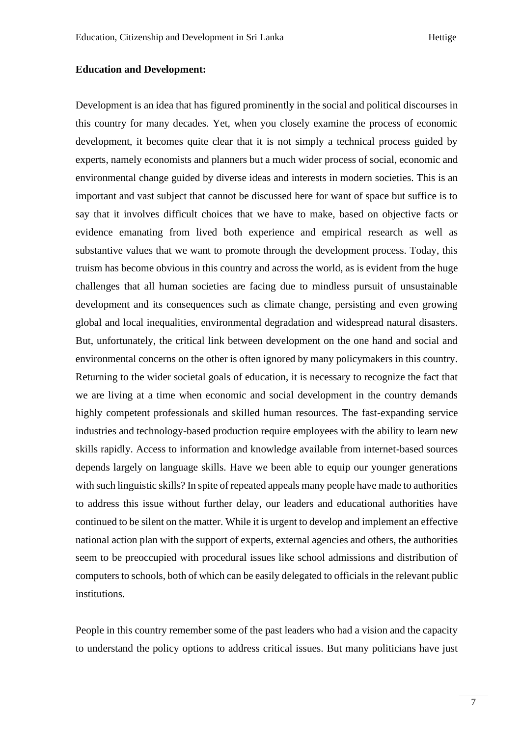#### **Education and Development:**

Development is an idea that has figured prominently in the social and political discourses in this country for many decades. Yet, when you closely examine the process of economic development, it becomes quite clear that it is not simply a technical process guided by experts, namely economists and planners but a much wider process of social, economic and environmental change guided by diverse ideas and interests in modern societies. This is an important and vast subject that cannot be discussed here for want of space but suffice is to say that it involves difficult choices that we have to make, based on objective facts or evidence emanating from lived both experience and empirical research as well as substantive values that we want to promote through the development process. Today, this truism has become obvious in this country and across the world, as is evident from the huge challenges that all human societies are facing due to mindless pursuit of unsustainable development and its consequences such as climate change, persisting and even growing global and local inequalities, environmental degradation and widespread natural disasters. But, unfortunately, the critical link between development on the one hand and social and environmental concerns on the other is often ignored by many policymakers in this country. Returning to the wider societal goals of education, it is necessary to recognize the fact that we are living at a time when economic and social development in the country demands highly competent professionals and skilled human resources. The fast-expanding service industries and technology-based production require employees with the ability to learn new skills rapidly. Access to information and knowledge available from internet-based sources depends largely on language skills. Have we been able to equip our younger generations with such linguistic skills? In spite of repeated appeals many people have made to authorities to address this issue without further delay, our leaders and educational authorities have continued to be silent on the matter. While it is urgent to develop and implement an effective national action plan with the support of experts, external agencies and others, the authorities seem to be preoccupied with procedural issues like school admissions and distribution of computers to schools, both of which can be easily delegated to officials in the relevant public institutions.

People in this country remember some of the past leaders who had a vision and the capacity to understand the policy options to address critical issues. But many politicians have just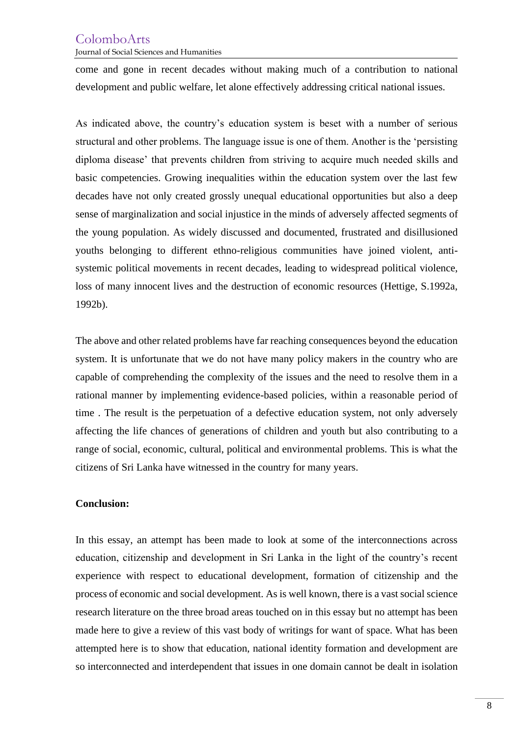## ColomboArts

Journal of Social Sciences and Humanities

come and gone in recent decades without making much of a contribution to national development and public welfare, let alone effectively addressing critical national issues.

As indicated above, the country's education system is beset with a number of serious structural and other problems. The language issue is one of them. Another is the 'persisting diploma disease' that prevents children from striving to acquire much needed skills and basic competencies. Growing inequalities within the education system over the last few decades have not only created grossly unequal educational opportunities but also a deep sense of marginalization and social injustice in the minds of adversely affected segments of the young population. As widely discussed and documented, frustrated and disillusioned youths belonging to different ethno-religious communities have joined violent, antisystemic political movements in recent decades, leading to widespread political violence, loss of many innocent lives and the destruction of economic resources (Hettige, S.1992a, 1992b).

The above and other related problems have far reaching consequences beyond the education system. It is unfortunate that we do not have many policy makers in the country who are capable of comprehending the complexity of the issues and the need to resolve them in a rational manner by implementing evidence-based policies, within a reasonable period of time . The result is the perpetuation of a defective education system, not only adversely affecting the life chances of generations of children and youth but also contributing to a range of social, economic, cultural, political and environmental problems. This is what the citizens of Sri Lanka have witnessed in the country for many years.

### **Conclusion:**

In this essay, an attempt has been made to look at some of the interconnections across education, citizenship and development in Sri Lanka in the light of the country's recent experience with respect to educational development, formation of citizenship and the process of economic and social development. As is well known, there is a vast social science research literature on the three broad areas touched on in this essay but no attempt has been made here to give a review of this vast body of writings for want of space. What has been attempted here is to show that education, national identity formation and development are so interconnected and interdependent that issues in one domain cannot be dealt in isolation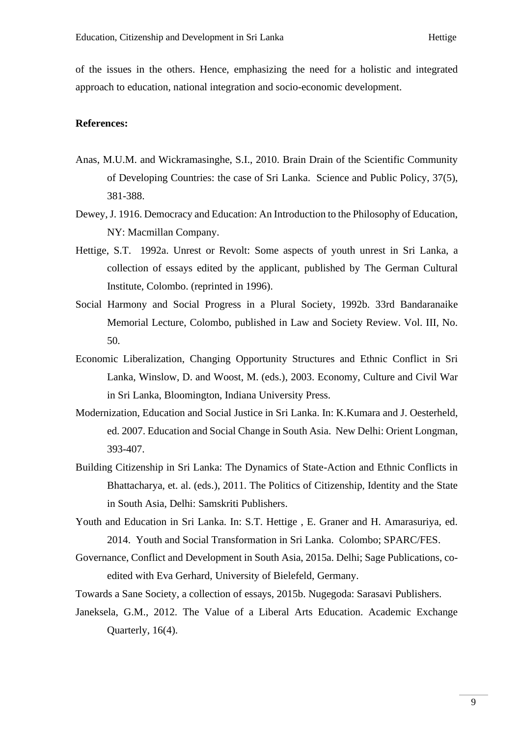of the issues in the others. Hence, emphasizing the need for a holistic and integrated approach to education, national integration and socio-economic development.

### **References:**

- Anas, M.U.M. and Wickramasinghe, S.I., 2010. Brain Drain of the Scientific Community of Developing Countries: the case of Sri Lanka. Science and Public Policy, 37(5), 381-388.
- Dewey, J. 1916. Democracy and Education: An Introduction to the Philosophy of Education, NY: Macmillan Company.
- Hettige, S.T. 1992a. Unrest or Revolt: Some aspects of youth unrest in Sri Lanka, a collection of essays edited by the applicant, published by The German Cultural Institute, Colombo. (reprinted in 1996).
- Social Harmony and Social Progress in a Plural Society, 1992b. 33rd Bandaranaike Memorial Lecture, Colombo, published in Law and Society Review. Vol. III, No. 50.
- Economic Liberalization, Changing Opportunity Structures and Ethnic Conflict in Sri Lanka, Winslow, D. and Woost, M. (eds.), 2003. Economy, Culture and Civil War in Sri Lanka, Bloomington, Indiana University Press.
- Modernization, Education and Social Justice in Sri Lanka. In: K.Kumara and J. Oesterheld, ed. 2007. Education and Social Change in South Asia. New Delhi: Orient Longman, 393-407.
- Building Citizenship in Sri Lanka: The Dynamics of State-Action and Ethnic Conflicts in Bhattacharya, et. al. (eds.), 2011. The Politics of Citizenship, Identity and the State in South Asia, Delhi: Samskriti Publishers.
- Youth and Education in Sri Lanka. In: S.T. Hettige , E. Graner and H. Amarasuriya, ed. 2014. Youth and Social Transformation in Sri Lanka. Colombo; SPARC/FES.
- Governance, Conflict and Development in South Asia, 2015a. Delhi; Sage Publications, coedited with Eva Gerhard, University of Bielefeld, Germany.

Towards a Sane Society, a collection of essays, 2015b. Nugegoda: Sarasavi Publishers.

Janeksela, G.M., 2012. The Value of a Liberal Arts Education. Academic Exchange Quarterly, 16(4).